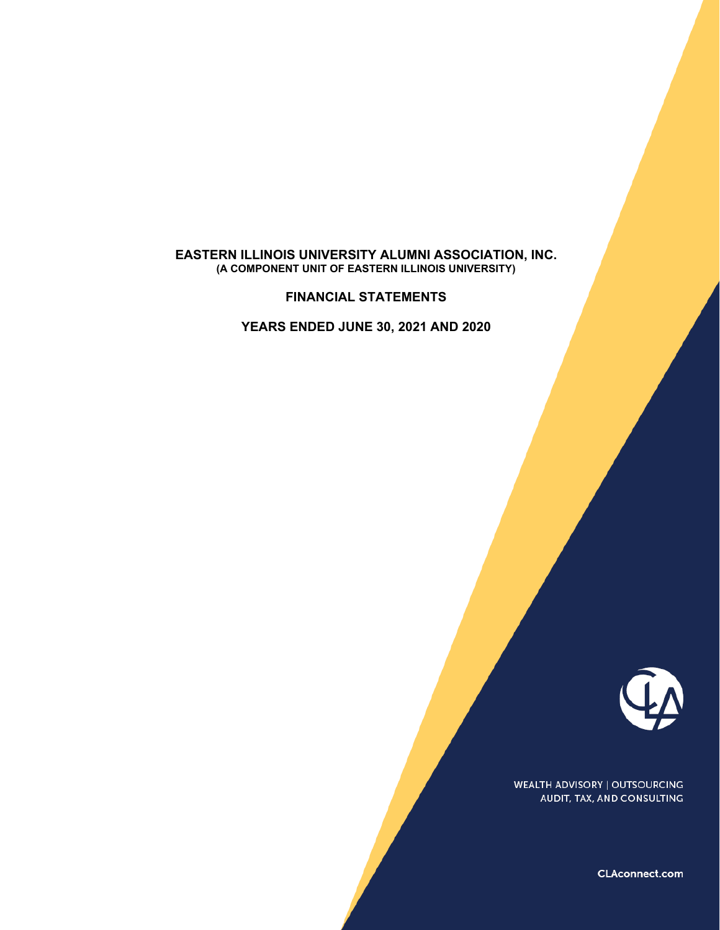#### **EASTERN ILLINOIS UNIVERSITY ALUMNI ASSOCIATION, INC. (A COMPONENT UNIT OF EASTERN ILLINOIS UNIVERSITY)**

**FINANCIAL STATEMENTS**

**YEARS ENDED JUNE 30, 2021 AND 2020**



**WEALTH ADVISORY | OUTSOURCING** AUDIT, TAX, AND CONSULTING

CLAconnect.com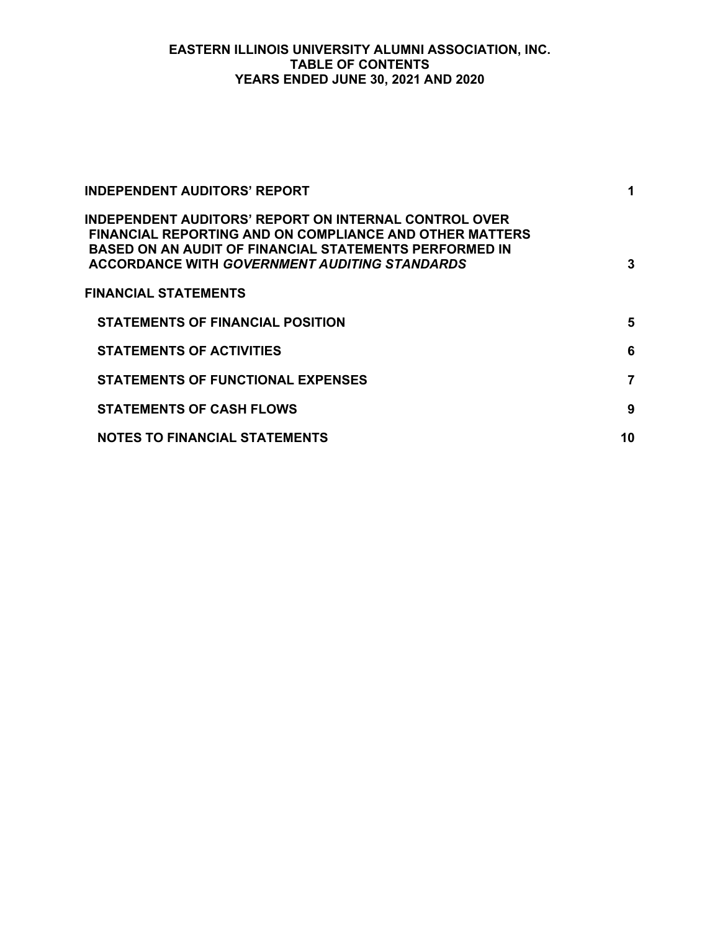# **EASTERN ILLINOIS UNIVERSITY ALUMNI ASSOCIATION, INC. TABLE OF CONTENTS YEARS ENDED JUNE 30, 2021 AND 2020**

| <b>INDEPENDENT AUDITORS' REPORT</b>                                                                                                                                                                                                              | 1  |
|--------------------------------------------------------------------------------------------------------------------------------------------------------------------------------------------------------------------------------------------------|----|
| INDEPENDENT AUDITORS' REPORT ON INTERNAL CONTROL OVER<br><b>FINANCIAL REPORTING AND ON COMPLIANCE AND OTHER MATTERS</b><br><b>BASED ON AN AUDIT OF FINANCIAL STATEMENTS PERFORMED IN</b><br><b>ACCORDANCE WITH GOVERNMENT AUDITING STANDARDS</b> | 3  |
| <b>FINANCIAL STATEMENTS</b>                                                                                                                                                                                                                      |    |
| <b>STATEMENTS OF FINANCIAL POSITION</b>                                                                                                                                                                                                          | 5  |
| <b>STATEMENTS OF ACTIVITIES</b>                                                                                                                                                                                                                  | 6  |
| <b>STATEMENTS OF FUNCTIONAL EXPENSES</b>                                                                                                                                                                                                         | 7  |
| <b>STATEMENTS OF CASH FLOWS</b>                                                                                                                                                                                                                  | 9  |
| <b>NOTES TO FINANCIAL STATEMENTS</b>                                                                                                                                                                                                             | 10 |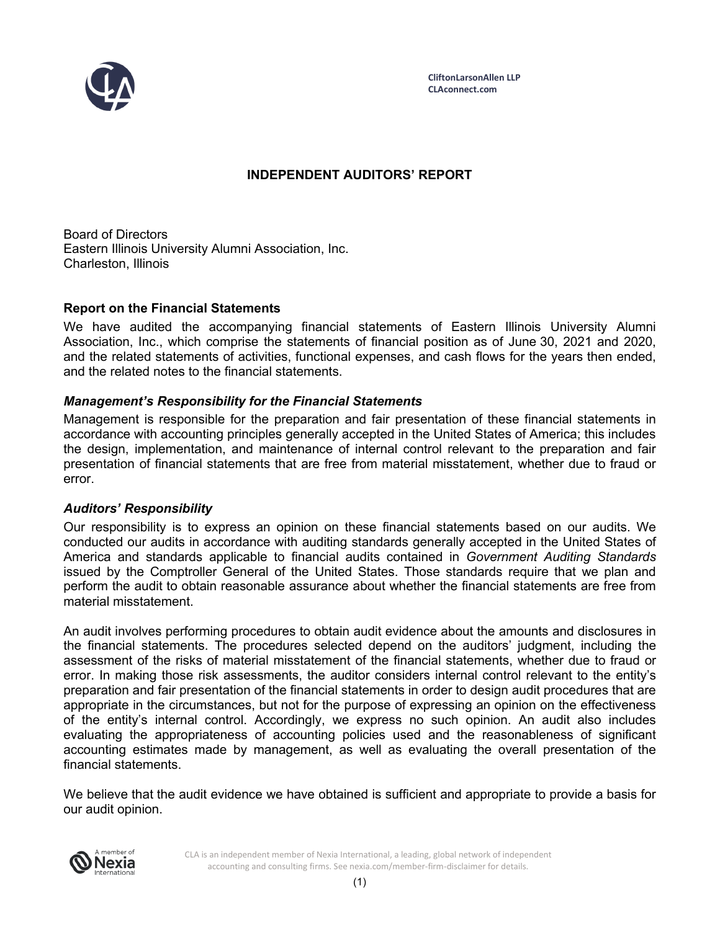

**CliftonLarsonAllen LLP CLAconnect.com**

# **INDEPENDENT AUDITORS' REPORT**

Board of Directors Eastern Illinois University Alumni Association, Inc. Charleston, Illinois

## **Report on the Financial Statements**

We have audited the accompanying financial statements of Eastern Illinois University Alumni Association, Inc., which comprise the statements of financial position as of June 30, 2021 and 2020, and the related statements of activities, functional expenses, and cash flows for the years then ended, and the related notes to the financial statements.

## *Management's Responsibility for the Financial Statements*

Management is responsible for the preparation and fair presentation of these financial statements in accordance with accounting principles generally accepted in the United States of America; this includes the design, implementation, and maintenance of internal control relevant to the preparation and fair presentation of financial statements that are free from material misstatement, whether due to fraud or error.

#### *Auditors' Responsibility*

Our responsibility is to express an opinion on these financial statements based on our audits. We conducted our audits in accordance with auditing standards generally accepted in the United States of America and standards applicable to financial audits contained in *Government Auditing Standards* issued by the Comptroller General of the United States. Those standards require that we plan and perform the audit to obtain reasonable assurance about whether the financial statements are free from material misstatement.

An audit involves performing procedures to obtain audit evidence about the amounts and disclosures in the financial statements. The procedures selected depend on the auditors' judgment, including the assessment of the risks of material misstatement of the financial statements, whether due to fraud or error. In making those risk assessments, the auditor considers internal control relevant to the entity's preparation and fair presentation of the financial statements in order to design audit procedures that are appropriate in the circumstances, but not for the purpose of expressing an opinion on the effectiveness of the entity's internal control. Accordingly, we express no such opinion. An audit also includes evaluating the appropriateness of accounting policies used and the reasonableness of significant accounting estimates made by management, as well as evaluating the overall presentation of the financial statements.

We believe that the audit evidence we have obtained is sufficient and appropriate to provide a basis for our audit opinion.



CLA is an independent member of Nexia International, a leading, global network of independent accounting and consulting firms. See nexia.com/member-firm-disclaimer for details.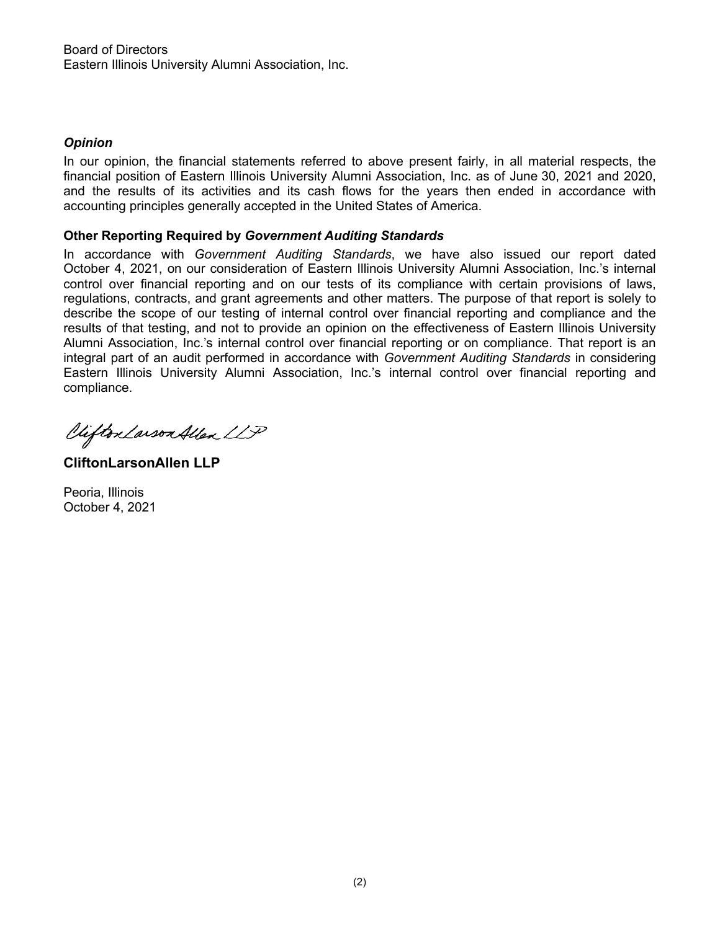## *Opinion*

In our opinion, the financial statements referred to above present fairly, in all material respects, the financial position of Eastern Illinois University Alumni Association, Inc. as of June 30, 2021 and 2020, and the results of its activities and its cash flows for the years then ended in accordance with accounting principles generally accepted in the United States of America.

## **Other Reporting Required by** *Government Auditing Standards*

In accordance with *Government Auditing Standards*, we have also issued our report dated October 4, 2021, on our consideration of Eastern Illinois University Alumni Association, Inc.'s internal control over financial reporting and on our tests of its compliance with certain provisions of laws, regulations, contracts, and grant agreements and other matters. The purpose of that report is solely to describe the scope of our testing of internal control over financial reporting and compliance and the results of that testing, and not to provide an opinion on the effectiveness of Eastern Illinois University Alumni Association, Inc.'s internal control over financial reporting or on compliance. That report is an integral part of an audit performed in accordance with *Government Auditing Standards* in considering Eastern Illinois University Alumni Association, Inc.'s internal control over financial reporting and compliance.

Vifton Larson Allen LLP

**CliftonLarsonAllen LLP**

Peoria, Illinois October 4, 2021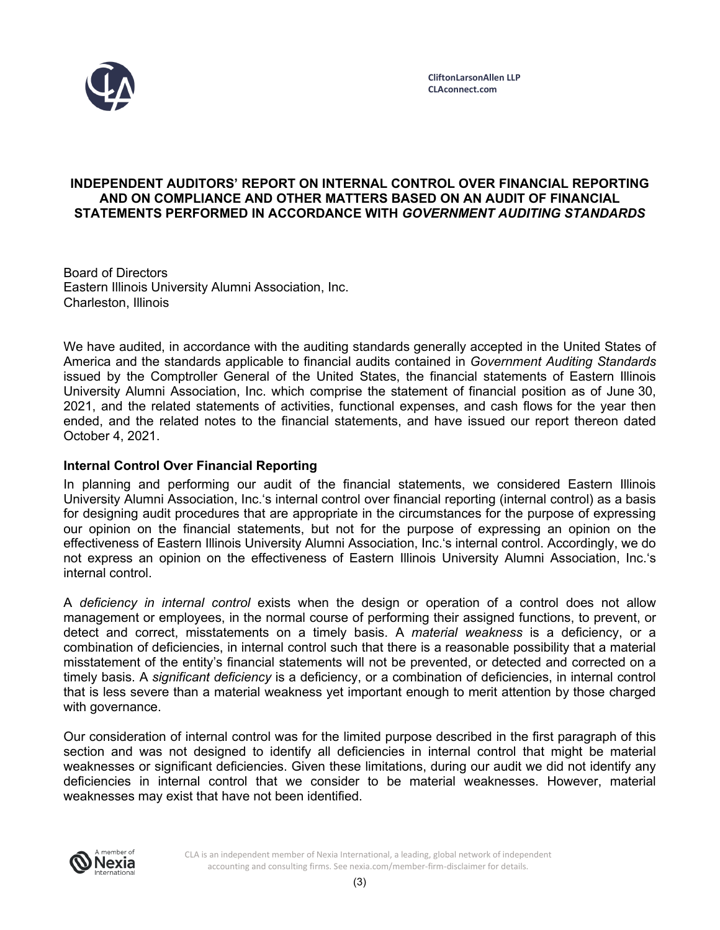

## **INDEPENDENT AUDITORS' REPORT ON INTERNAL CONTROL OVER FINANCIAL REPORTING AND ON COMPLIANCE AND OTHER MATTERS BASED ON AN AUDIT OF FINANCIAL STATEMENTS PERFORMED IN ACCORDANCE WITH** *GOVERNMENT AUDITING STANDARDS*

Board of Directors Eastern Illinois University Alumni Association, Inc. Charleston, Illinois

We have audited, in accordance with the auditing standards generally accepted in the United States of America and the standards applicable to financial audits contained in *Government Auditing Standards* issued by the Comptroller General of the United States, the financial statements of Eastern Illinois University Alumni Association, Inc. which comprise the statement of financial position as of June 30, 2021, and the related statements of activities, functional expenses, and cash flows for the year then ended, and the related notes to the financial statements, and have issued our report thereon dated October 4, 2021.

## **Internal Control Over Financial Reporting**

In planning and performing our audit of the financial statements, we considered Eastern Illinois University Alumni Association, Inc.'s internal control over financial reporting (internal control) as a basis for designing audit procedures that are appropriate in the circumstances for the purpose of expressing our opinion on the financial statements, but not for the purpose of expressing an opinion on the effectiveness of Eastern Illinois University Alumni Association, Inc.'s internal control. Accordingly, we do not express an opinion on the effectiveness of Eastern Illinois University Alumni Association, Inc.'s internal control.

A *deficiency in internal control* exists when the design or operation of a control does not allow management or employees, in the normal course of performing their assigned functions, to prevent, or detect and correct, misstatements on a timely basis. A *material weakness* is a deficiency, or a combination of deficiencies, in internal control such that there is a reasonable possibility that a material misstatement of the entity's financial statements will not be prevented, or detected and corrected on a timely basis. A *significant deficiency* is a deficiency, or a combination of deficiencies, in internal control that is less severe than a material weakness yet important enough to merit attention by those charged with governance.

Our consideration of internal control was for the limited purpose described in the first paragraph of this section and was not designed to identify all deficiencies in internal control that might be material weaknesses or significant deficiencies. Given these limitations, during our audit we did not identify any deficiencies in internal control that we consider to be material weaknesses. However, material weaknesses may exist that have not been identified.



CLA is an independent member of Nexia International, a leading, global network of independent accounting and consulting firms. See nexia.com/member-firm-disclaimer for details.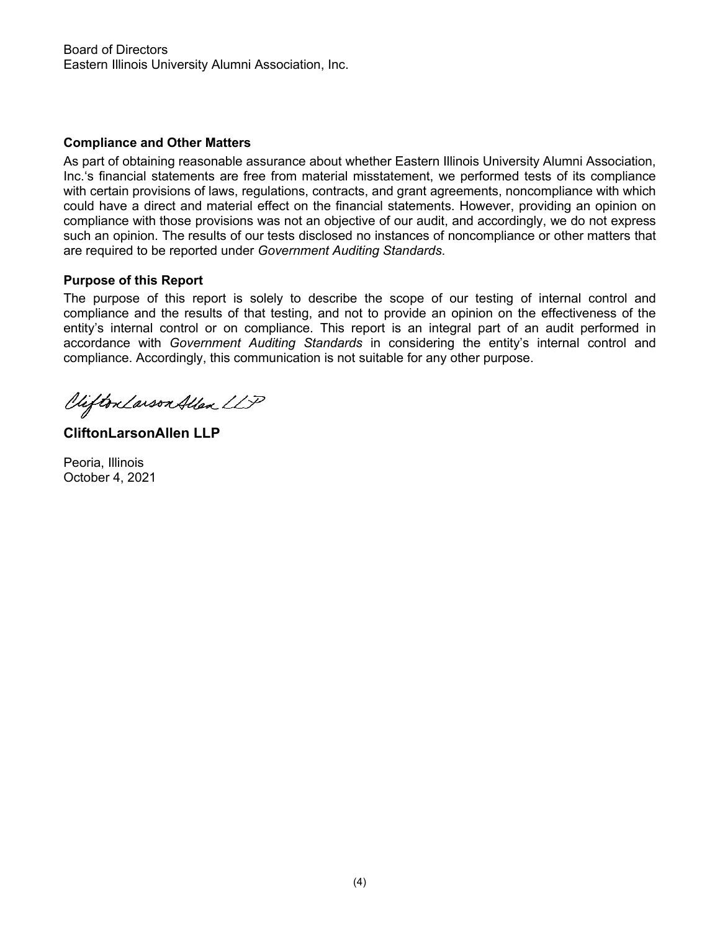## **Compliance and Other Matters**

As part of obtaining reasonable assurance about whether Eastern Illinois University Alumni Association, Inc.'s financial statements are free from material misstatement, we performed tests of its compliance with certain provisions of laws, regulations, contracts, and grant agreements, noncompliance with which could have a direct and material effect on the financial statements. However, providing an opinion on compliance with those provisions was not an objective of our audit, and accordingly, we do not express such an opinion. The results of our tests disclosed no instances of noncompliance or other matters that are required to be reported under *Government Auditing Standards*.

## **Purpose of this Report**

The purpose of this report is solely to describe the scope of our testing of internal control and compliance and the results of that testing, and not to provide an opinion on the effectiveness of the entity's internal control or on compliance. This report is an integral part of an audit performed in accordance with *Government Auditing Standards* in considering the entity's internal control and compliance. Accordingly, this communication is not suitable for any other purpose.

Vifton Larson Allen LLP

**CliftonLarsonAllen LLP**

Peoria, Illinois October 4, 2021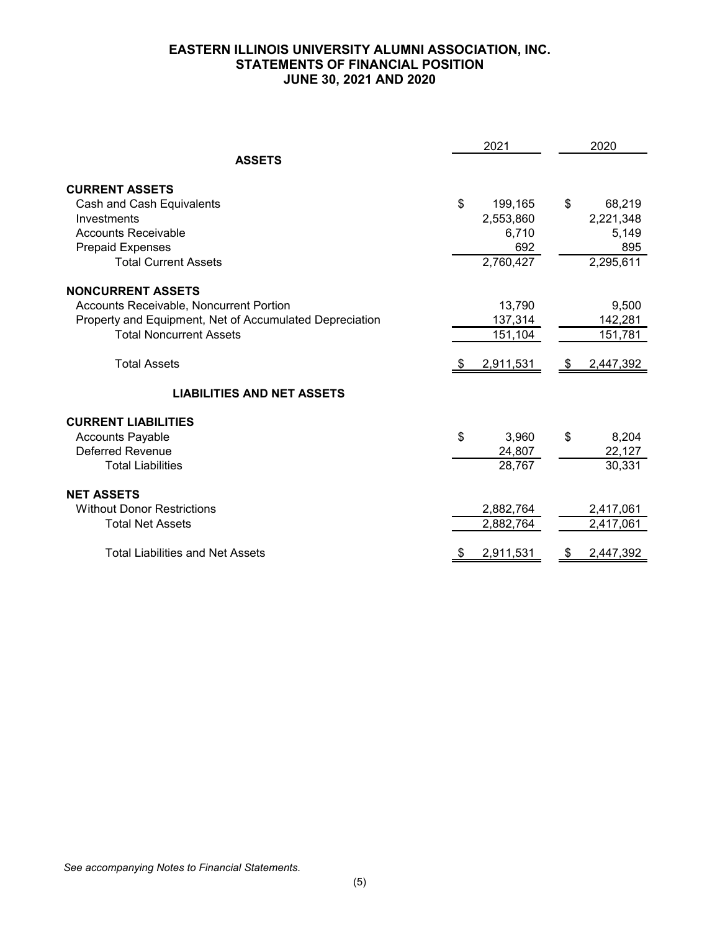## **EASTERN ILLINOIS UNIVERSITY ALUMNI ASSOCIATION, INC. STATEMENTS OF FINANCIAL POSITION JUNE 30, 2021 AND 2020**

|                                                         | 2021          | 2020         |
|---------------------------------------------------------|---------------|--------------|
| <b>ASSETS</b>                                           |               |              |
| <b>CURRENT ASSETS</b>                                   |               |              |
| Cash and Cash Equivalents                               | \$<br>199,165 | \$<br>68,219 |
| Investments                                             | 2,553,860     | 2,221,348    |
| <b>Accounts Receivable</b>                              | 6,710         | 5,149        |
| <b>Prepaid Expenses</b>                                 | 692           | 895          |
| <b>Total Current Assets</b>                             | 2,760,427     | 2,295,611    |
| <b>NONCURRENT ASSETS</b>                                |               |              |
| Accounts Receivable, Noncurrent Portion                 | 13,790        | 9,500        |
| Property and Equipment, Net of Accumulated Depreciation | 137,314       | 142,281      |
| <b>Total Noncurrent Assets</b>                          | 151,104       | 151,781      |
| <b>Total Assets</b>                                     | 2,911,531     | 2,447,392    |
| <b>LIABILITIES AND NET ASSETS</b>                       |               |              |
| <b>CURRENT LIABILITIES</b>                              |               |              |
| <b>Accounts Payable</b>                                 | \$<br>3,960   | \$<br>8,204  |
| <b>Deferred Revenue</b>                                 | 24,807        | 22,127       |
| <b>Total Liabilities</b>                                | 28,767        | 30,331       |
| <b>NET ASSETS</b>                                       |               |              |
| <b>Without Donor Restrictions</b>                       | 2,882,764     | 2,417,061    |
| <b>Total Net Assets</b>                                 | 2,882,764     | 2,417,061    |
| <b>Total Liabilities and Net Assets</b>                 | 2,911,531     | 2,447,392    |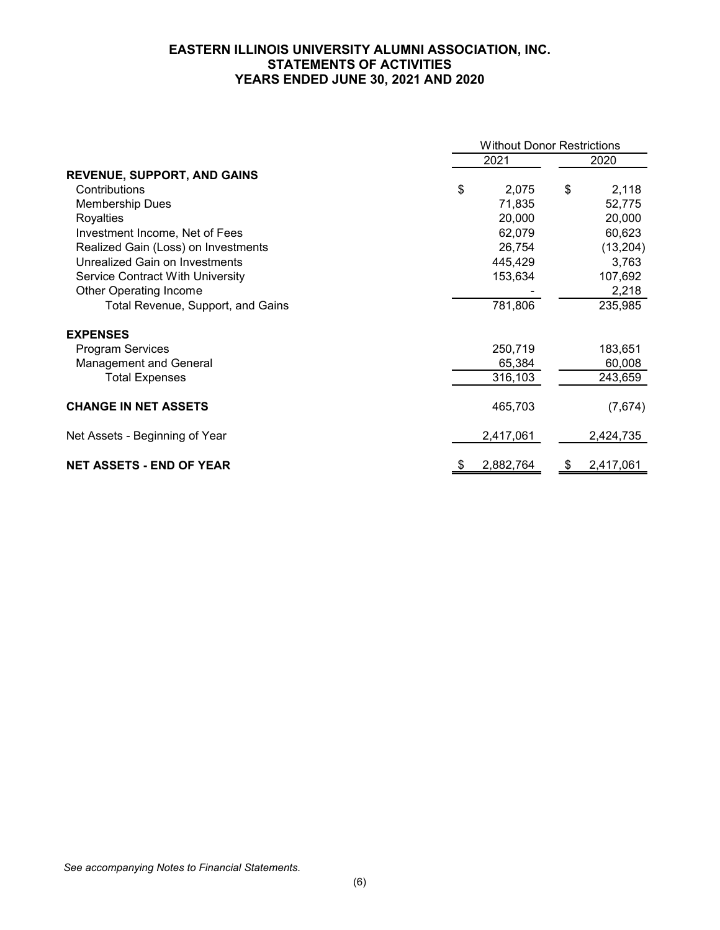## **EASTERN ILLINOIS UNIVERSITY ALUMNI ASSOCIATION, INC. STATEMENTS OF ACTIVITIES YEARS ENDED JUNE 30, 2021 AND 2020**

|                                       | <b>Without Donor Restrictions</b> |           |    |           |  |
|---------------------------------------|-----------------------------------|-----------|----|-----------|--|
|                                       |                                   | 2021      |    | 2020      |  |
| <b>REVENUE, SUPPORT, AND GAINS</b>    |                                   |           |    |           |  |
| Contributions                         | \$                                | 2,075     | \$ | 2,118     |  |
| <b>Membership Dues</b>                |                                   | 71,835    |    | 52,775    |  |
| Royalties                             |                                   | 20,000    |    | 20,000    |  |
| Investment Income, Net of Fees        |                                   | 62,079    |    | 60,623    |  |
| Realized Gain (Loss) on Investments   |                                   | 26,754    |    | (13,204)  |  |
| <b>Unrealized Gain on Investments</b> |                                   | 445,429   |    | 3,763     |  |
| Service Contract With University      |                                   | 153,634   |    | 107,692   |  |
| <b>Other Operating Income</b>         |                                   |           |    | 2,218     |  |
| Total Revenue, Support, and Gains     |                                   | 781,806   |    | 235,985   |  |
| <b>EXPENSES</b>                       |                                   |           |    |           |  |
| <b>Program Services</b>               |                                   | 250,719   |    | 183,651   |  |
| <b>Management and General</b>         |                                   | 65,384    |    | 60,008    |  |
| <b>Total Expenses</b>                 |                                   | 316,103   |    | 243,659   |  |
| <b>CHANGE IN NET ASSETS</b>           |                                   | 465,703   |    | (7,674)   |  |
| Net Assets - Beginning of Year        |                                   | 2,417,061 |    | 2,424,735 |  |
| <b>NET ASSETS - END OF YEAR</b>       |                                   | 2,882,764 | \$ | 2,417,061 |  |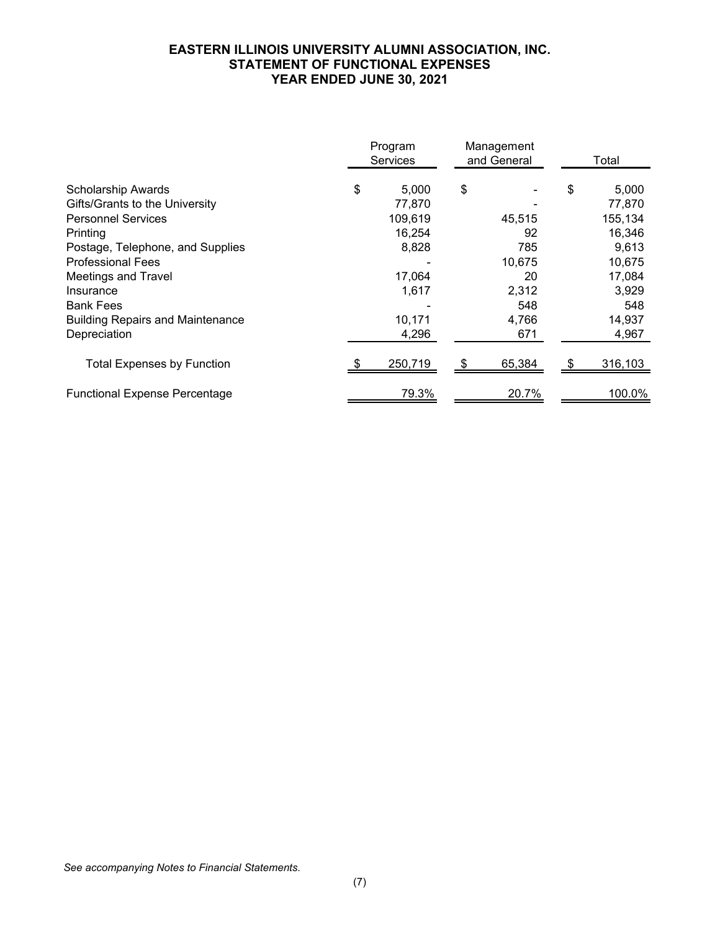## **EASTERN ILLINOIS UNIVERSITY ALUMNI ASSOCIATION, INC. STATEMENT OF FUNCTIONAL EXPENSES YEAR ENDED JUNE 30, 2021**

|                                         | Program<br>Management<br>and General<br><b>Services</b> |    |        |    | Total   |  |
|-----------------------------------------|---------------------------------------------------------|----|--------|----|---------|--|
| <b>Scholarship Awards</b>               | \$<br>5,000                                             | \$ |        | \$ | 5,000   |  |
| Gifts/Grants to the University          | 77.870                                                  |    |        |    | 77,870  |  |
| <b>Personnel Services</b>               | 109,619                                                 |    | 45,515 |    | 155,134 |  |
| Printing                                | 16,254                                                  |    | 92     |    | 16,346  |  |
| Postage, Telephone, and Supplies        | 8,828                                                   |    | 785    |    | 9,613   |  |
| <b>Professional Fees</b>                |                                                         |    | 10,675 |    | 10,675  |  |
| <b>Meetings and Travel</b>              | 17,064                                                  |    | 20     |    | 17,084  |  |
| Insurance                               | 1,617                                                   |    | 2,312  |    | 3,929   |  |
| <b>Bank Fees</b>                        |                                                         |    | 548    |    | 548     |  |
| <b>Building Repairs and Maintenance</b> | 10,171                                                  |    | 4,766  |    | 14,937  |  |
| Depreciation                            | 4,296                                                   |    | 671    |    | 4,967   |  |
| <b>Total Expenses by Function</b>       | 250,719                                                 |    | 65,384 |    | 316,103 |  |
| <b>Functional Expense Percentage</b>    | 79.3%                                                   |    | 20.7%  |    | 100.0%  |  |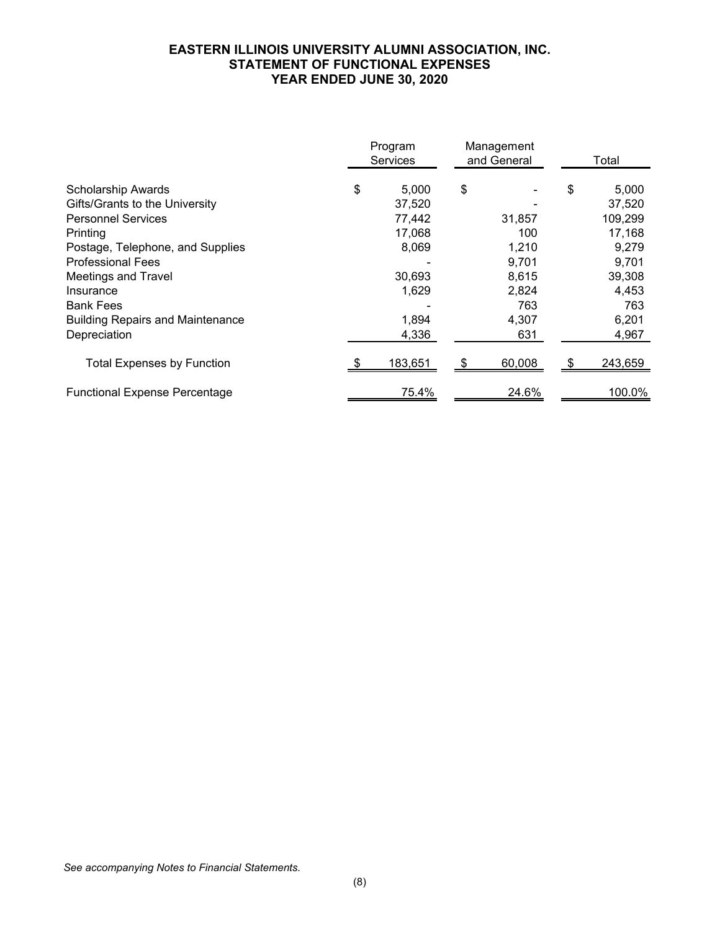## **EASTERN ILLINOIS UNIVERSITY ALUMNI ASSOCIATION, INC. STATEMENT OF FUNCTIONAL EXPENSES YEAR ENDED JUNE 30, 2020**

|                                         | Program<br><b>Services</b> | Management<br>and General |        | Total |         |
|-----------------------------------------|----------------------------|---------------------------|--------|-------|---------|
| <b>Scholarship Awards</b>               | \$<br>5,000                | \$                        |        | \$    | 5,000   |
| Gifts/Grants to the University          | 37,520                     |                           |        |       | 37,520  |
| <b>Personnel Services</b>               | 77,442                     |                           | 31,857 |       | 109,299 |
| Printing                                | 17,068                     |                           | 100    |       | 17,168  |
| Postage, Telephone, and Supplies        | 8,069                      |                           | 1,210  |       | 9,279   |
| <b>Professional Fees</b>                |                            |                           | 9,701  |       | 9,701   |
| <b>Meetings and Travel</b>              | 30,693                     |                           | 8,615  |       | 39,308  |
| Insurance                               | 1,629                      |                           | 2,824  |       | 4,453   |
| <b>Bank Fees</b>                        |                            |                           | 763    |       | 763     |
| <b>Building Repairs and Maintenance</b> | 1,894                      |                           | 4,307  |       | 6,201   |
| Depreciation                            | 4,336                      |                           | 631    |       | 4,967   |
| <b>Total Expenses by Function</b>       | 183,651                    |                           | 60,008 | \$.   | 243,659 |
| <b>Functional Expense Percentage</b>    | 75.4%                      |                           | 24.6%  |       | 100.0%  |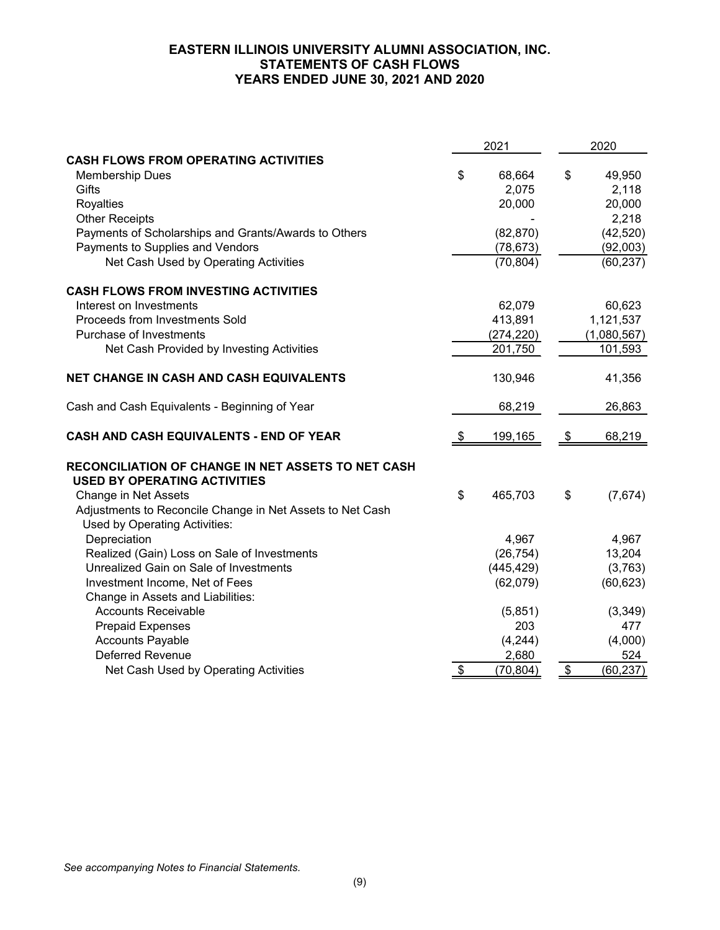## **EASTERN ILLINOIS UNIVERSITY ALUMNI ASSOCIATION, INC. STATEMENTS OF CASH FLOWS YEARS ENDED JUNE 30, 2021 AND 2020**

| <b>CASH FLOWS FROM OPERATING ACTIVITIES</b>                                                | \$              |
|--------------------------------------------------------------------------------------------|-----------------|
|                                                                                            |                 |
| \$<br><b>Membership Dues</b><br>68,664                                                     | 49,950          |
| Gifts<br>2,075                                                                             | 2,118           |
| Royalties<br>20,000                                                                        | 20,000          |
| <b>Other Receipts</b>                                                                      | 2,218           |
| Payments of Scholarships and Grants/Awards to Others<br>(82, 870)                          | (42, 520)       |
| Payments to Supplies and Vendors<br>(78, 673)                                              | (92,003)        |
| Net Cash Used by Operating Activities<br>(70, 804)                                         | (60, 237)       |
| <b>CASH FLOWS FROM INVESTING ACTIVITIES</b>                                                |                 |
| Interest on Investments<br>62,079                                                          | 60,623          |
| 413,891<br>Proceeds from Investments Sold                                                  | 1,121,537       |
| Purchase of Investments<br>(274, 220)                                                      | (1,080,567)     |
| Net Cash Provided by Investing Activities<br>201,750                                       | 101,593         |
| NET CHANGE IN CASH AND CASH EQUIVALENTS<br>130,946                                         | 41,356          |
| 68,219<br>Cash and Cash Equivalents - Beginning of Year                                    | 26,863          |
| 199,165<br>CASH AND CASH EQUIVALENTS - END OF YEAR<br>\$                                   | \$<br>68,219    |
| RECONCILIATION OF CHANGE IN NET ASSETS TO NET CASH<br><b>USED BY OPERATING ACTIVITIES</b>  |                 |
| \$<br>Change in Net Assets<br>465,703                                                      | \$<br>(7,674)   |
| Adjustments to Reconcile Change in Net Assets to Net Cash<br>Used by Operating Activities: |                 |
| Depreciation<br>4,967                                                                      | 4,967           |
| Realized (Gain) Loss on Sale of Investments<br>(26, 754)                                   | 13,204          |
| Unrealized Gain on Sale of Investments<br>(445, 429)                                       | (3,763)         |
| Investment Income, Net of Fees<br>(62,079)                                                 | (60, 623)       |
| Change in Assets and Liabilities:                                                          |                 |
| <b>Accounts Receivable</b><br>(5,851)                                                      | (3, 349)        |
| 203<br><b>Prepaid Expenses</b>                                                             | 477             |
| <b>Accounts Payable</b><br>(4, 244)                                                        | (4,000)         |
| <b>Deferred Revenue</b><br>2,680                                                           | 524             |
| $\sqrt[6]{\frac{1}{2}}$<br>Net Cash Used by Operating Activities<br>(70, 804)              | \$<br>(60, 237) |

*See accompanying Notes to Financial Statements.*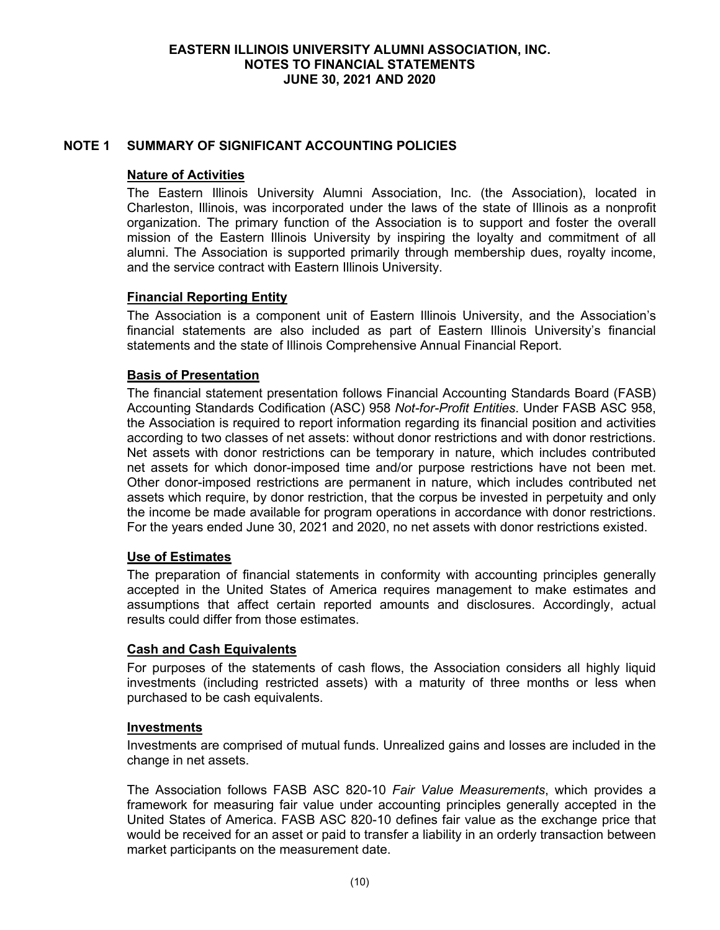## **NOTE 1 SUMMARY OF SIGNIFICANT ACCOUNTING POLICIES**

### **Nature of Activities**

The Eastern Illinois University Alumni Association, Inc. (the Association), located in Charleston, Illinois, was incorporated under the laws of the state of Illinois as a nonprofit organization. The primary function of the Association is to support and foster the overall mission of the Eastern Illinois University by inspiring the loyalty and commitment of all alumni. The Association is supported primarily through membership dues, royalty income, and the service contract with Eastern Illinois University.

#### **Financial Reporting Entity**

The Association is a component unit of Eastern Illinois University, and the Association's financial statements are also included as part of Eastern Illinois University's financial statements and the state of Illinois Comprehensive Annual Financial Report.

## **Basis of Presentation**

The financial statement presentation follows Financial Accounting Standards Board (FASB) Accounting Standards Codification (ASC) 958 *Not-for-Profit Entities*. Under FASB ASC 958, the Association is required to report information regarding its financial position and activities according to two classes of net assets: without donor restrictions and with donor restrictions. Net assets with donor restrictions can be temporary in nature, which includes contributed net assets for which donor-imposed time and/or purpose restrictions have not been met. Other donor-imposed restrictions are permanent in nature, which includes contributed net assets which require, by donor restriction, that the corpus be invested in perpetuity and only the income be made available for program operations in accordance with donor restrictions. For the years ended June 30, 2021 and 2020, no net assets with donor restrictions existed.

#### **Use of Estimates**

The preparation of financial statements in conformity with accounting principles generally accepted in the United States of America requires management to make estimates and assumptions that affect certain reported amounts and disclosures. Accordingly, actual results could differ from those estimates.

#### **Cash and Cash Equivalents**

For purposes of the statements of cash flows, the Association considers all highly liquid investments (including restricted assets) with a maturity of three months or less when purchased to be cash equivalents.

#### **Investments**

Investments are comprised of mutual funds. Unrealized gains and losses are included in the change in net assets.

The Association follows FASB ASC 820-10 *Fair Value Measurements*, which provides a framework for measuring fair value under accounting principles generally accepted in the United States of America. FASB ASC 820-10 defines fair value as the exchange price that would be received for an asset or paid to transfer a liability in an orderly transaction between market participants on the measurement date.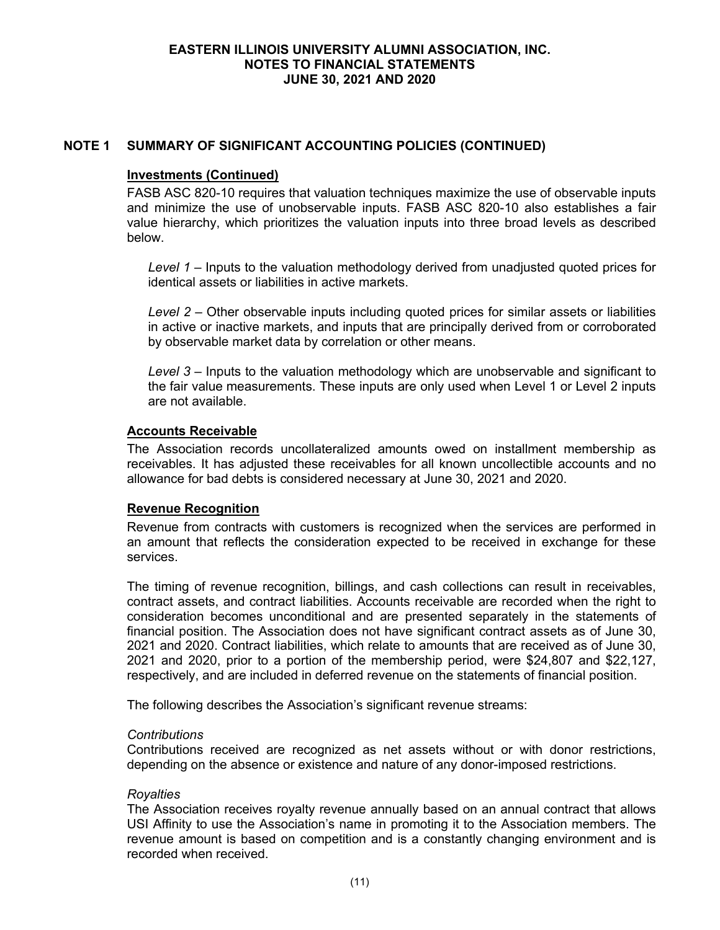## **NOTE 1 SUMMARY OF SIGNIFICANT ACCOUNTING POLICIES (CONTINUED)**

#### **Investments (Continued)**

FASB ASC 820-10 requires that valuation techniques maximize the use of observable inputs and minimize the use of unobservable inputs. FASB ASC 820-10 also establishes a fair value hierarchy, which prioritizes the valuation inputs into three broad levels as described below.

*Level 1* – Inputs to the valuation methodology derived from unadjusted quoted prices for identical assets or liabilities in active markets.

*Level 2* – Other observable inputs including quoted prices for similar assets or liabilities in active or inactive markets, and inputs that are principally derived from or corroborated by observable market data by correlation or other means.

*Level 3* – Inputs to the valuation methodology which are unobservable and significant to the fair value measurements. These inputs are only used when Level 1 or Level 2 inputs are not available.

#### **Accounts Receivable**

The Association records uncollateralized amounts owed on installment membership as receivables. It has adjusted these receivables for all known uncollectible accounts and no allowance for bad debts is considered necessary at June 30, 2021 and 2020.

#### **Revenue Recognition**

Revenue from contracts with customers is recognized when the services are performed in an amount that reflects the consideration expected to be received in exchange for these services.

The timing of revenue recognition, billings, and cash collections can result in receivables, contract assets, and contract liabilities. Accounts receivable are recorded when the right to consideration becomes unconditional and are presented separately in the statements of financial position. The Association does not have significant contract assets as of June 30, 2021 and 2020. Contract liabilities, which relate to amounts that are received as of June 30, 2021 and 2020, prior to a portion of the membership period, were \$24,807 and \$22,127, respectively, and are included in deferred revenue on the statements of financial position.

The following describes the Association's significant revenue streams:

#### *Contributions*

Contributions received are recognized as net assets without or with donor restrictions, depending on the absence or existence and nature of any donor-imposed restrictions.

#### *Royalties*

The Association receives royalty revenue annually based on an annual contract that allows USI Affinity to use the Association's name in promoting it to the Association members. The revenue amount is based on competition and is a constantly changing environment and is recorded when received.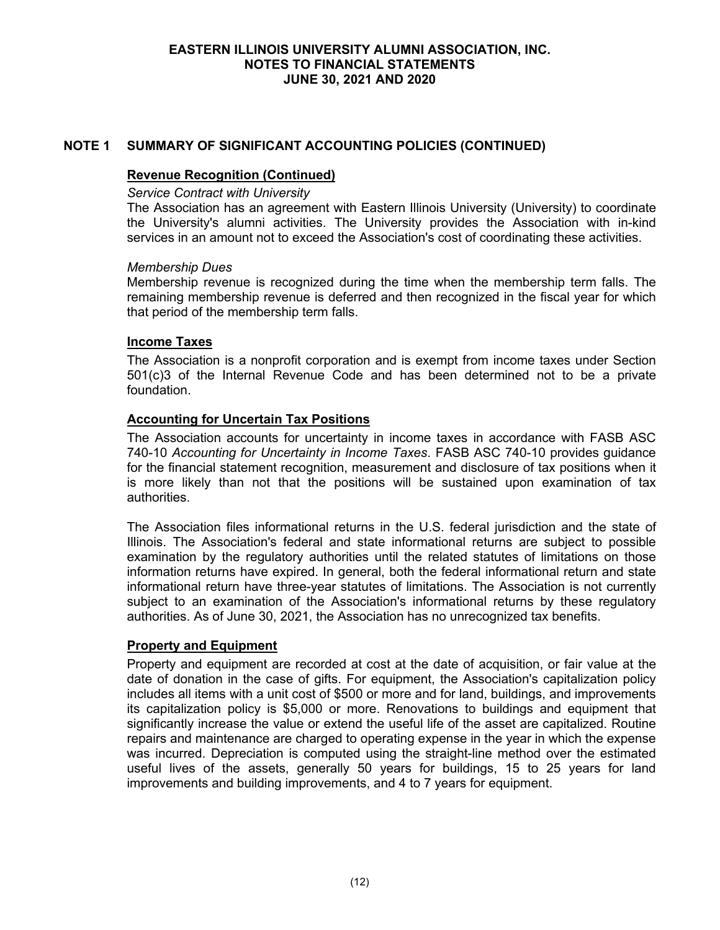## **NOTE 1 SUMMARY OF SIGNIFICANT ACCOUNTING POLICIES (CONTINUED)**

### **Revenue Recognition (Continued)**

#### *Service Contract with University*

The Association has an agreement with Eastern Illinois University (University) to coordinate the University's alumni activities. The University provides the Association with in-kind services in an amount not to exceed the Association's cost of coordinating these activities.

#### *Membership Dues*

Membership revenue is recognized during the time when the membership term falls. The remaining membership revenue is deferred and then recognized in the fiscal year for which that period of the membership term falls.

## **Income Taxes**

The Association is a nonprofit corporation and is exempt from income taxes under Section 501(c)3 of the Internal Revenue Code and has been determined not to be a private foundation.

## **Accounting for Uncertain Tax Positions**

The Association accounts for uncertainty in income taxes in accordance with FASB ASC 740-10 *Accounting for Uncertainty in Income Taxes*. FASB ASC 740-10 provides guidance for the financial statement recognition, measurement and disclosure of tax positions when it is more likely than not that the positions will be sustained upon examination of tax authorities.

The Association files informational returns in the U.S. federal jurisdiction and the state of Illinois. The Association's federal and state informational returns are subject to possible examination by the regulatory authorities until the related statutes of limitations on those information returns have expired. In general, both the federal informational return and state informational return have three-year statutes of limitations. The Association is not currently subject to an examination of the Association's informational returns by these regulatory authorities. As of June 30, 2021, the Association has no unrecognized tax benefits.

## **Property and Equipment**

Property and equipment are recorded at cost at the date of acquisition, or fair value at the date of donation in the case of gifts. For equipment, the Association's capitalization policy includes all items with a unit cost of \$500 or more and for land, buildings, and improvements its capitalization policy is \$5,000 or more. Renovations to buildings and equipment that significantly increase the value or extend the useful life of the asset are capitalized. Routine repairs and maintenance are charged to operating expense in the year in which the expense was incurred. Depreciation is computed using the straight-line method over the estimated useful lives of the assets, generally 50 years for buildings, 15 to 25 years for land improvements and building improvements, and 4 to 7 years for equipment.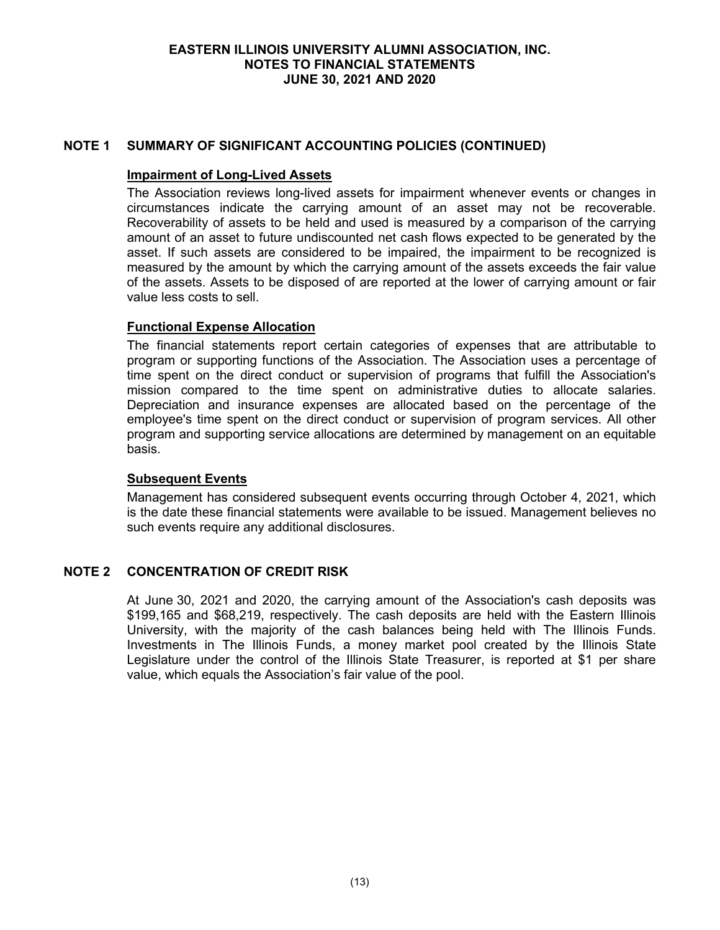## **NOTE 1 SUMMARY OF SIGNIFICANT ACCOUNTING POLICIES (CONTINUED)**

#### **Impairment of Long-Lived Assets**

The Association reviews long-lived assets for impairment whenever events or changes in circumstances indicate the carrying amount of an asset may not be recoverable. Recoverability of assets to be held and used is measured by a comparison of the carrying amount of an asset to future undiscounted net cash flows expected to be generated by the asset. If such assets are considered to be impaired, the impairment to be recognized is measured by the amount by which the carrying amount of the assets exceeds the fair value of the assets. Assets to be disposed of are reported at the lower of carrying amount or fair value less costs to sell.

## **Functional Expense Allocation**

The financial statements report certain categories of expenses that are attributable to program or supporting functions of the Association. The Association uses a percentage of time spent on the direct conduct or supervision of programs that fulfill the Association's mission compared to the time spent on administrative duties to allocate salaries. Depreciation and insurance expenses are allocated based on the percentage of the employee's time spent on the direct conduct or supervision of program services. All other program and supporting service allocations are determined by management on an equitable basis.

#### **Subsequent Events**

Management has considered subsequent events occurring through October 4, 2021, which is the date these financial statements were available to be issued. Management believes no such events require any additional disclosures.

## **NOTE 2 CONCENTRATION OF CREDIT RISK**

At June 30, 2021 and 2020, the carrying amount of the Association's cash deposits was \$199,165 and \$68,219, respectively. The cash deposits are held with the Eastern Illinois University, with the majority of the cash balances being held with The Illinois Funds. Investments in The Illinois Funds, a money market pool created by the Illinois State Legislature under the control of the Illinois State Treasurer, is reported at \$1 per share value, which equals the Association's fair value of the pool.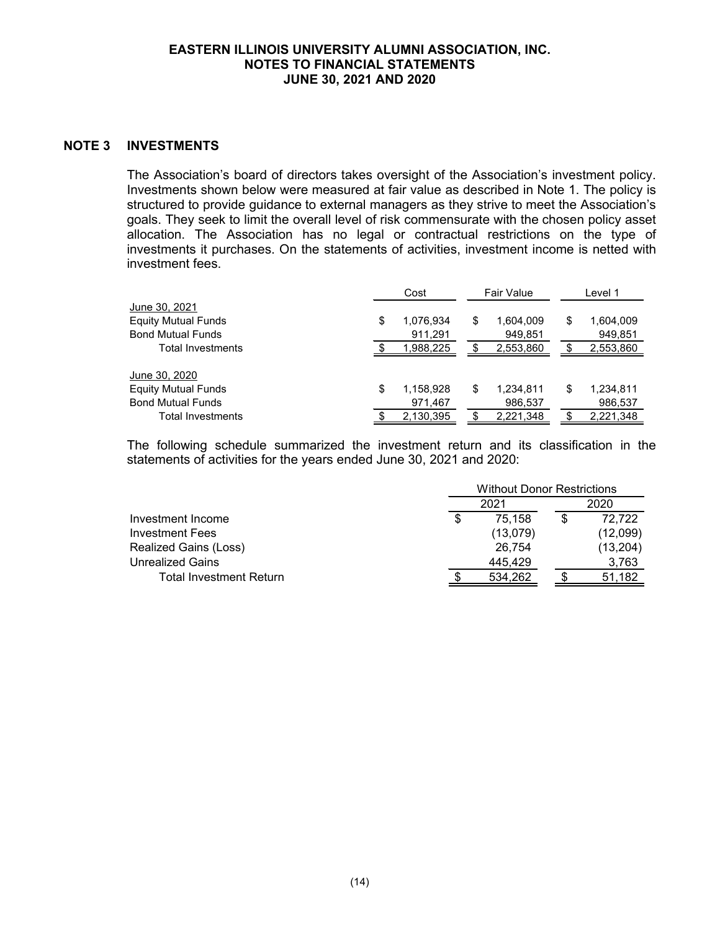## **NOTE 3 INVESTMENTS**

The Association's board of directors takes oversight of the Association's investment policy. Investments shown below were measured at fair value as described in Note 1. The policy is structured to provide guidance to external managers as they strive to meet the Association's goals. They seek to limit the overall level of risk commensurate with the chosen policy asset allocation. The Association has no legal or contractual restrictions on the type of investments it purchases. On the statements of activities, investment income is netted with investment fees.

|                            | Cost            | Fair Value |           | Level 1 |           |
|----------------------------|-----------------|------------|-----------|---------|-----------|
| June 30, 2021              |                 |            |           |         |           |
| <b>Equity Mutual Funds</b> | \$<br>1,076,934 | \$         | 1,604,009 | \$      | 1,604,009 |
| <b>Bond Mutual Funds</b>   | 911,291         |            | 949,851   |         | 949,851   |
| Total Investments          | 1,988,225       |            | 2,553,860 |         | 2,553,860 |
|                            |                 |            |           |         |           |
| June 30, 2020              |                 |            |           |         |           |
| <b>Equity Mutual Funds</b> | \$<br>1,158,928 | \$         | 1,234,811 | \$      | 1,234,811 |
| <b>Bond Mutual Funds</b>   | 971,467         |            | 986,537   |         | 986,537   |
| Total Investments          | 2,130,395       |            | 2,221,348 |         | 2,221,348 |

The following schedule summarized the investment return and its classification in the statements of activities for the years ended June 30, 2021 and 2020:

|                         |  | <b>Without Donor Restrictions</b> |  |          |
|-------------------------|--|-----------------------------------|--|----------|
|                         |  | 2021                              |  | 2020     |
| Investment Income       |  | 75.158                            |  | 72.722   |
| Investment Fees         |  | (13,079)                          |  | (12,099) |
| Realized Gains (Loss)   |  | 26.754                            |  | (13,204) |
| <b>Unrealized Gains</b> |  | 445.429                           |  | 3,763    |
| Total Investment Return |  | 534.262                           |  | 51.182   |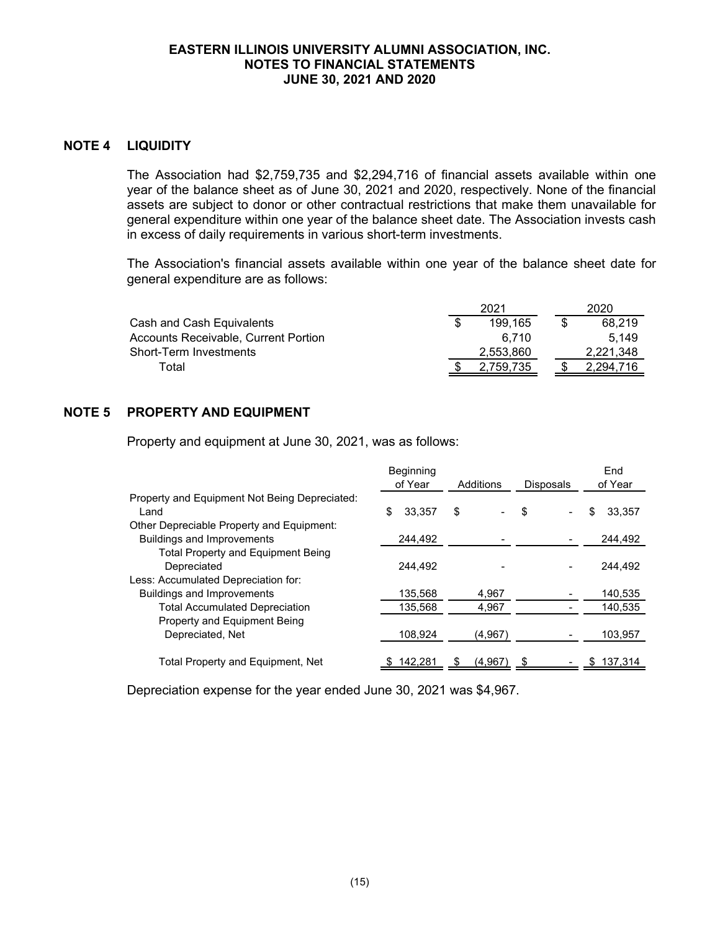## **NOTE 4 LIQUIDITY**

The Association had \$2,759,735 and \$2,294,716 of financial assets available within one year of the balance sheet as of June 30, 2021 and 2020, respectively. None of the financial assets are subject to donor or other contractual restrictions that make them unavailable for general expenditure within one year of the balance sheet date. The Association invests cash in excess of daily requirements in various short-term investments.

The Association's financial assets available within one year of the balance sheet date for general expenditure are as follows:

|                                      | 2021      | 2020      |
|--------------------------------------|-----------|-----------|
| Cash and Cash Equivalents            | 199.165   | 68.219    |
| Accounts Receivable, Current Portion | 6.710     | 5.149     |
| Short-Term Investments               | 2.553.860 | 2.221.348 |
| Total                                | 2.759.735 | 2.294.716 |

## **NOTE 5 PROPERTY AND EQUIPMENT**

Property and equipment at June 30, 2021, was as follows:

|                                               | <b>Beginning</b><br>of Year | Additions | <b>Disposals</b> | End<br>of Year |
|-----------------------------------------------|-----------------------------|-----------|------------------|----------------|
| Property and Equipment Not Being Depreciated: |                             |           |                  |                |
| Land                                          | \$<br>33.357                | \$        | \$               | 33.357<br>S    |
| Other Depreciable Property and Equipment:     |                             |           |                  |                |
| <b>Buildings and Improvements</b>             | 244,492                     |           |                  | 244,492        |
| <b>Total Property and Equipment Being</b>     |                             |           |                  |                |
| Depreciated                                   | 244.492                     |           |                  | 244.492        |
| Less: Accumulated Depreciation for:           |                             |           |                  |                |
| <b>Buildings and Improvements</b>             | 135,568                     | 4,967     |                  | 140,535        |
| <b>Total Accumulated Depreciation</b>         | 135.568                     | 4,967     |                  | 140.535        |
| Property and Equipment Being                  |                             |           |                  |                |
| Depreciated, Net                              | 108.924                     | (4,967)   |                  | 103,957        |
| Total Property and Equipment, Net             | 142.281                     | (4.967)   |                  | 137,314        |

Depreciation expense for the year ended June 30, 2021 was \$4,967.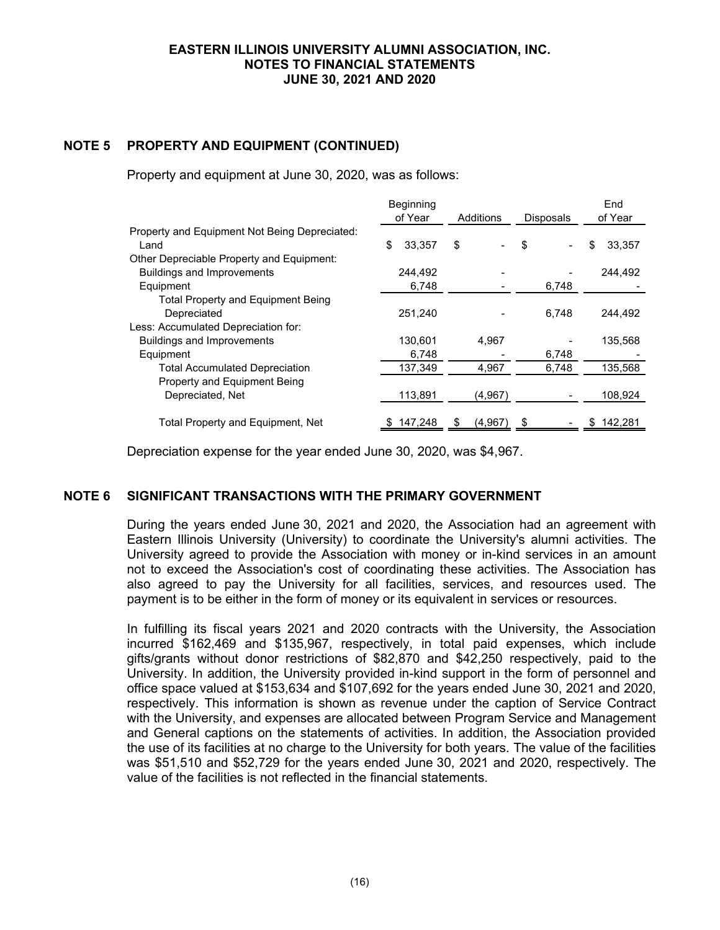## **NOTE 5 PROPERTY AND EQUIPMENT (CONTINUED)**

Property and equipment at June 30, 2020, was as follows:

|                                               | Beginning<br>of Year | Additions | <b>Disposals</b> | End<br>of Year |
|-----------------------------------------------|----------------------|-----------|------------------|----------------|
| Property and Equipment Not Being Depreciated: |                      |           |                  |                |
| Land                                          | \$<br>33.357         | \$        | \$               | 33.357<br>\$   |
| Other Depreciable Property and Equipment:     |                      |           |                  |                |
| <b>Buildings and Improvements</b>             | 244,492              |           |                  | 244.492        |
| Equipment                                     | 6,748                |           | 6,748            |                |
| <b>Total Property and Equipment Being</b>     |                      |           |                  |                |
| Depreciated                                   | 251.240              |           | 6.748            | 244,492        |
| Less: Accumulated Depreciation for:           |                      |           |                  |                |
| <b>Buildings and Improvements</b>             | 130,601              | 4,967     |                  | 135,568        |
| Equipment                                     | 6,748                |           | 6,748            |                |
| <b>Total Accumulated Depreciation</b>         | 137,349              | 4,967     | 6,748            | 135,568        |
| Property and Equipment Being                  |                      |           |                  |                |
| Depreciated, Net                              | 113,891              | (4,967)   |                  | 108,924        |
|                                               |                      |           |                  |                |
| Total Property and Equipment, Net             | 147,248              | (4.967)   |                  | 142,281        |

Depreciation expense for the year ended June 30, 2020, was \$4,967.

## **NOTE 6 SIGNIFICANT TRANSACTIONS WITH THE PRIMARY GOVERNMENT**

During the years ended June 30, 2021 and 2020, the Association had an agreement with Eastern Illinois University (University) to coordinate the University's alumni activities. The University agreed to provide the Association with money or in-kind services in an amount not to exceed the Association's cost of coordinating these activities. The Association has also agreed to pay the University for all facilities, services, and resources used. The payment is to be either in the form of money or its equivalent in services or resources.

In fulfilling its fiscal years 2021 and 2020 contracts with the University, the Association incurred \$162,469 and \$135,967, respectively, in total paid expenses, which include gifts/grants without donor restrictions of \$82,870 and \$42,250 respectively, paid to the University. In addition, the University provided in-kind support in the form of personnel and office space valued at \$153,634 and \$107,692 for the years ended June 30, 2021 and 2020, respectively. This information is shown as revenue under the caption of Service Contract with the University, and expenses are allocated between Program Service and Management and General captions on the statements of activities. In addition, the Association provided the use of its facilities at no charge to the University for both years. The value of the facilities was \$51,510 and \$52,729 for the years ended June 30, 2021 and 2020, respectively. The value of the facilities is not reflected in the financial statements.